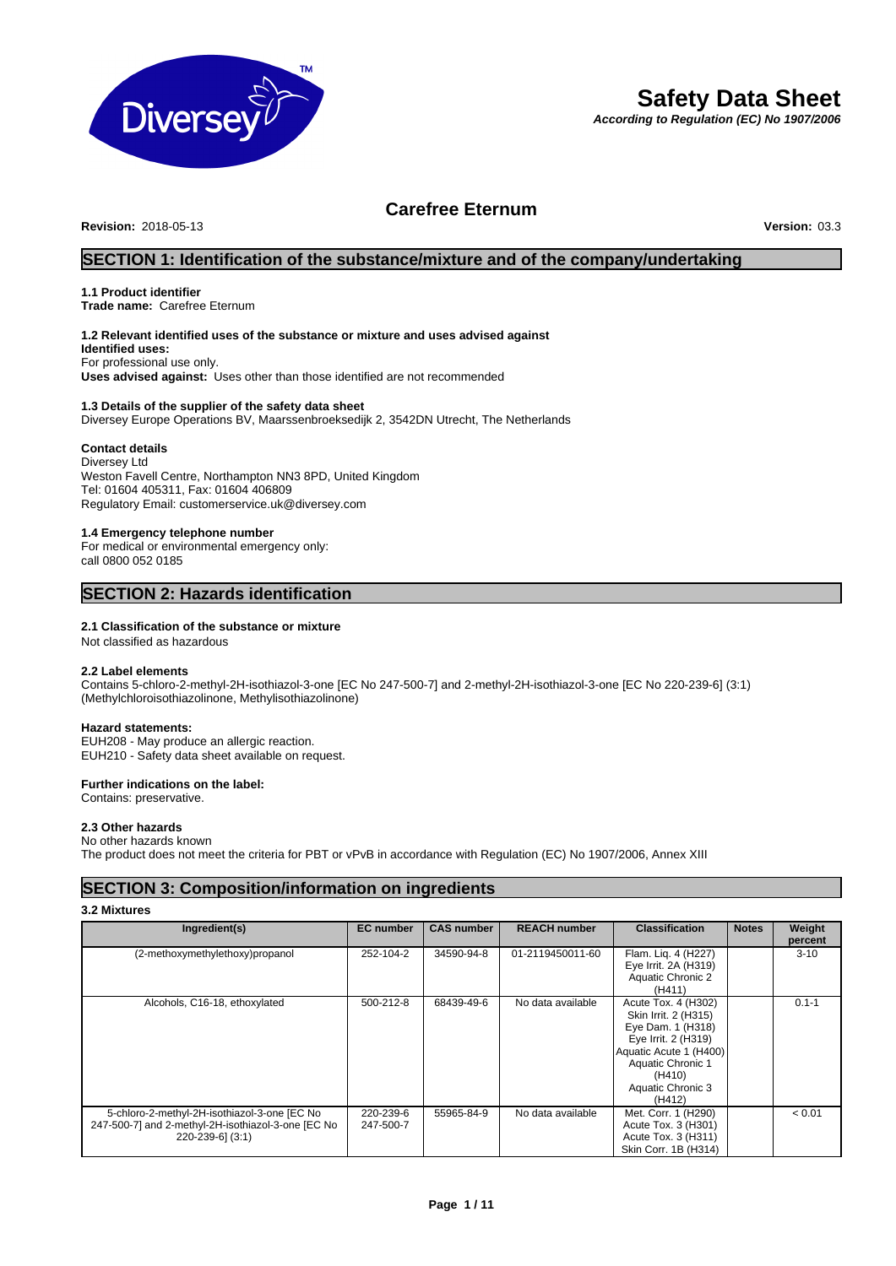

# **Safety Data Sheet**

*According to Regulation (EC) No 1907/2006*

# **Carefree Eternum**<br>Version: 03.3

**Revision: 2018-05-13** 

# **SECTION 1: Identification of the substance/mixture and of the company/undertaking**

# **1.1 Product identifier**

**Trade name:** Carefree Eternum

## **1.2 Relevant identified uses of the substance or mixture and uses advised against**

**Identified uses:** For professional use only. **Uses advised against:** Uses other than those identified are not recommended

#### **1.3 Details of the supplier of the safety data sheet**

Diversey Europe Operations BV, Maarssenbroeksedijk 2, 3542DN Utrecht, The Netherlands

#### **Contact details**

Diversey Ltd Weston Favell Centre, Northampton NN3 8PD, United Kingdom Tel: 01604 405311, Fax: 01604 406809 Regulatory Email: customerservice.uk@diversey.com

### **1.4 Emergency telephone number**

For medical or environmental emergency only: call 0800 052 0185

# **SECTION 2: Hazards identification**

#### **2.1 Classification of the substance or mixture**

Not classified as hazardous

#### **2.2 Label elements**

Contains 5-chloro-2-methyl-2H-isothiazol-3-one [EC No 247-500-7] and 2-methyl-2H-isothiazol-3-one [EC No 220-239-6] (3:1) (Methylchloroisothiazolinone, Methylisothiazolinone)

#### **Hazard statements:**

EUH208 - May produce an allergic reaction. EUH210 - Safety data sheet available on request.

### **Further indications on the label:**

Contains: preservative.

#### **2.3 Other hazards**

No other hazards known

The product does not meet the criteria for PBT or vPvB in accordance with Regulation (EC) No 1907/2006, Annex XIII

# **SECTION 3: Composition/information on ingredients**

#### **3.2 Mixtures**

| Ingredient(s)                                                                                                          | <b>EC</b> number       | <b>CAS number</b> | <b>REACH number</b> | <b>Classification</b>                                                                                                                                                           | <b>Notes</b> | Weight<br>percent |
|------------------------------------------------------------------------------------------------------------------------|------------------------|-------------------|---------------------|---------------------------------------------------------------------------------------------------------------------------------------------------------------------------------|--------------|-------------------|
| (2-methoxymethylethoxy)propanol                                                                                        | 252-104-2              | 34590-94-8        | 01-2119450011-60    | Flam. Liq. 4 (H227)<br>Eye Irrit. 2A (H319)<br>Aquatic Chronic 2<br>(H411)                                                                                                      |              | $3 - 10$          |
| Alcohols, C16-18, ethoxylated                                                                                          | 500-212-8              | 68439-49-6        | No data available   | Acute Tox. 4 (H302)<br>Skin Irrit. 2 (H315)<br>Eye Dam. 1 (H318)<br>Eye Irrit. 2 (H319)<br>Aquatic Acute 1 (H400)<br>Aquatic Chronic 1<br>(H410)<br>Aquatic Chronic 3<br>(H412) |              | $0.1 - 1$         |
| 5-chloro-2-methyl-2H-isothiazol-3-one [EC No<br>247-500-7] and 2-methyl-2H-isothiazol-3-one [EC No<br>220-239-6] (3:1) | 220-239-6<br>247-500-7 | 55965-84-9        | No data available   | Met. Corr. 1 (H290)<br>Acute Tox. 3 (H301)<br>Acute Tox. 3 (H311)<br>Skin Corr. 1B (H314)                                                                                       |              | < 0.01            |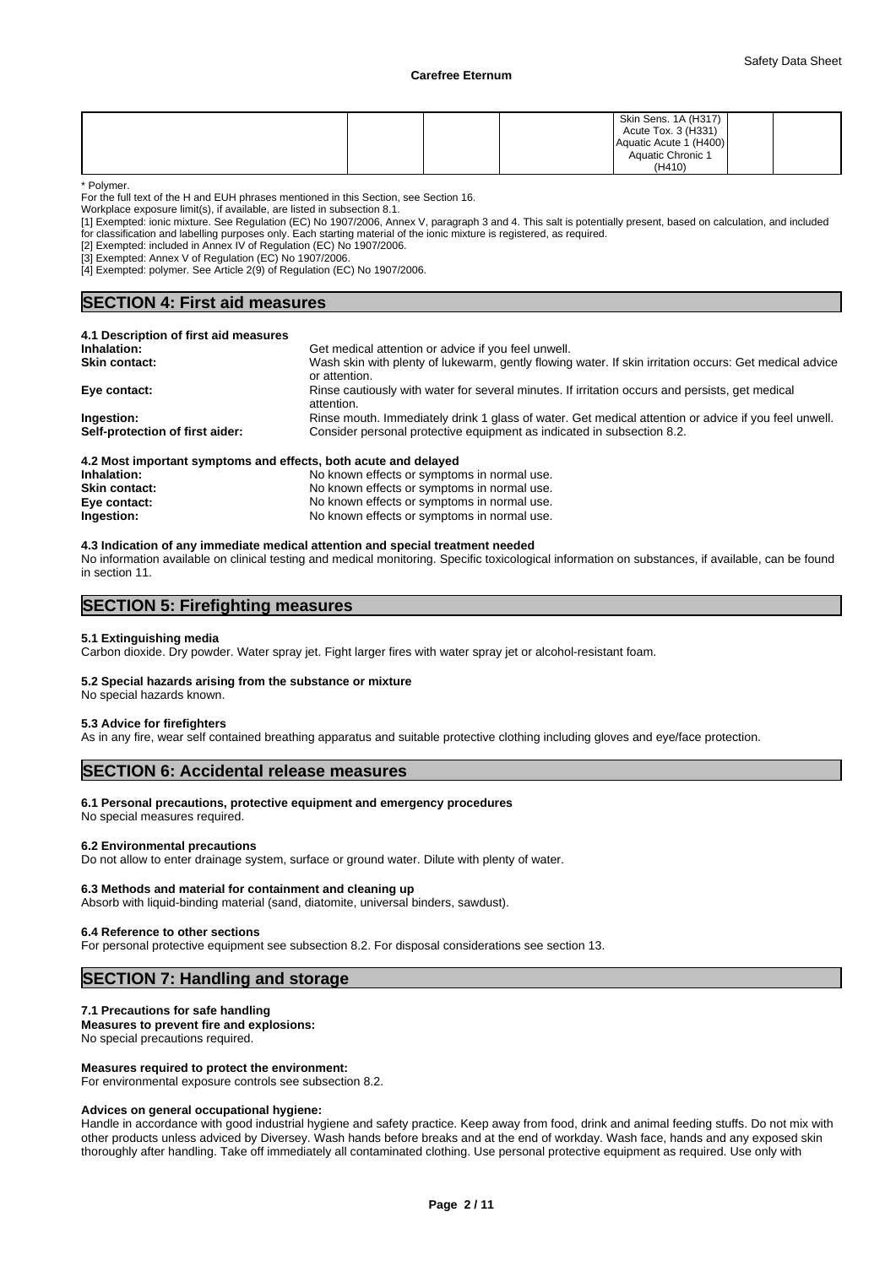|  |  | Skin Sens. 1A (H317)   |  |
|--|--|------------------------|--|
|  |  | Acute Tox. 3 (H331)    |  |
|  |  | Aquatic Acute 1 (H400) |  |
|  |  | Aquatic Chronic 1      |  |
|  |  | (H410)                 |  |

\* Polymer.

For the full text of the H and EUH phrases mentioned in this Section, see Section 16.

Workplace exposure limit(s), if available, are listed in subsection 8.1.

[1] Exempted: ionic mixture. See Regulation (EC) No 1907/2006, Annex V, paragraph 3 and 4. This salt is potentially present, based on calculation, and included

for classification and labelling purposes only. Each starting material of the ionic mixture is registered, as required. [2] Exempted: included in Annex IV of Regulation (EC) No 1907/2006.

[3] Exempted: Annex V of Regulation (EC) No 1907/2006.

[4] Exempted: polymer. See Article 2(9) of Regulation (EC) No 1907/2006.

# **SECTION 4: First aid measures**

| 4.1 Description of first aid measures                           |                                                                                                                         |
|-----------------------------------------------------------------|-------------------------------------------------------------------------------------------------------------------------|
| Inhalation:                                                     | Get medical attention or advice if you feel unwell.                                                                     |
| <b>Skin contact:</b>                                            | Wash skin with plenty of lukewarm, gently flowing water. If skin irritation occurs: Get medical advice<br>or attention. |
| Eye contact:                                                    | Rinse cautiously with water for several minutes. If irritation occurs and persists, get medical<br>attention.           |
| Ingestion:                                                      | Rinse mouth. Immediately drink 1 glass of water. Get medical attention or advice if you feel unwell.                    |
| Self-protection of first aider:                                 | Consider personal protective equipment as indicated in subsection 8.2.                                                  |
| 4.2 Most important symptoms and effects, both acute and delayed |                                                                                                                         |

| <b></b> wost important symptoms and chects, both acute and delayed |                                             |
|--------------------------------------------------------------------|---------------------------------------------|
| Inhalation:                                                        | No known effects or symptoms in normal use. |
| <b>Skin contact:</b>                                               | No known effects or symptoms in normal use. |
| Eye contact:                                                       | No known effects or symptoms in normal use. |
| Ingestion:                                                         | No known effects or symptoms in normal use. |
|                                                                    |                                             |

#### **4.3 Indication of any immediate medical attention and special treatment needed**

No information available on clinical testing and medical monitoring. Specific toxicological information on substances, if available, can be found in section 11.

# **SECTION 5: Firefighting measures**

#### **5.1 Extinguishing media**

Carbon dioxide. Dry powder. Water spray jet. Fight larger fires with water spray jet or alcohol-resistant foam.

### **5.2 Special hazards arising from the substance or mixture**

No special hazards known.

#### **5.3 Advice for firefighters**

As in any fire, wear self contained breathing apparatus and suitable protective clothing including gloves and eye/face protection.

# **SECTION 6: Accidental release measures**

### **6.1 Personal precautions, protective equipment and emergency procedures**

No special measures required.

#### **6.2 Environmental precautions**

Do not allow to enter drainage system, surface or ground water. Dilute with plenty of water.

#### **6.3 Methods and material for containment and cleaning up**

Absorb with liquid-binding material (sand, diatomite, universal binders, sawdust).

#### **6.4 Reference to other sections**

For personal protective equipment see subsection 8.2. For disposal considerations see section 13.

# **SECTION 7: Handling and storage**

#### **7.1 Precautions for safe handling**

**Measures to prevent fire and explosions:** No special precautions required.

#### **Measures required to protect the environment:**

For environmental exposure controls see subsection 8.2.

#### **Advices on general occupational hygiene:**

Handle in accordance with good industrial hygiene and safety practice. Keep away from food, drink and animal feeding stuffs. Do not mix with other products unless adviced by Diversey. Wash hands before breaks and at the end of workday. Wash face, hands and any exposed skin thoroughly after handling. Take off immediately all contaminated clothing. Use personal protective equipment as required. Use only with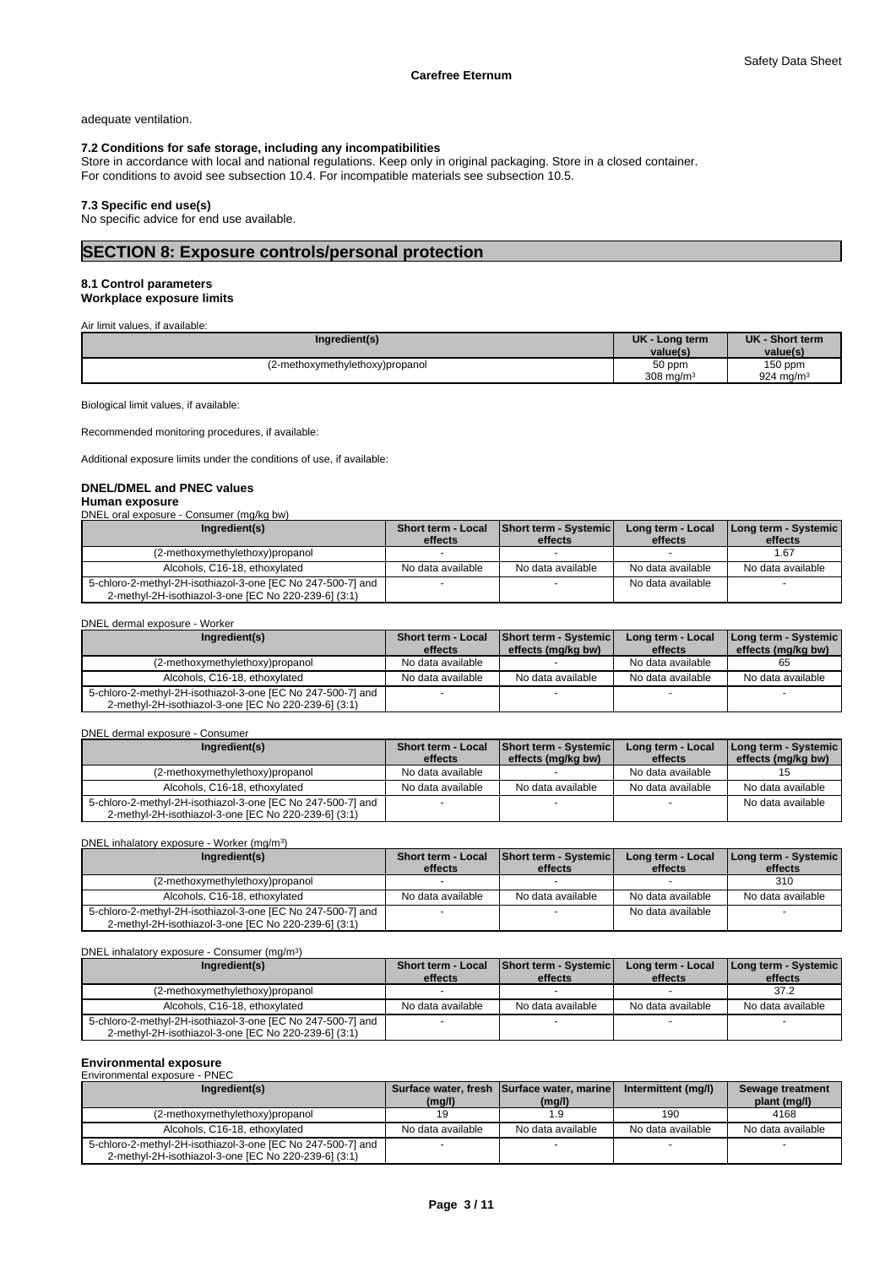adequate ventilation.

### **7.2 Conditions for safe storage, including any incompatibilities**

Store in accordance with local and national regulations. Keep only in original packaging. Store in a closed container. For conditions to avoid see subsection 10.4. For incompatible materials see subsection 10.5.

### **7.3 Specific end use(s)**

No specific advice for end use available.

# **SECTION 8: Exposure controls/personal protection**

#### **8.1 Control parameters Workplace exposure limits**

Air limit values, if available:

| Ingredient(s)                   | UK -<br>Long term<br>value(s) | <b>UK</b><br>- Short term<br>value(s) |
|---------------------------------|-------------------------------|---------------------------------------|
| (2-methoxymethylethoxy)propanol | 50 ppm                        | 150 ppm                               |
|                                 | 308 mg/m $3$                  | 924 mg/m $3$                          |

Biological limit values, if available:

Recommended monitoring procedures, if available:

Additional exposure limits under the conditions of use, if available:

# **DNEL/DMEL and PNEC values**

### **Human exposure**

DNEL oral exposure - Consumer (mg/kg bw)

| Ingredient(s)                                                                                                       | <b>Short term - Local</b><br>effects | Short term - Systemic<br>effects | Long term - Local<br>effects | Long term - Systemic  <br>effects |
|---------------------------------------------------------------------------------------------------------------------|--------------------------------------|----------------------------------|------------------------------|-----------------------------------|
| (2-methoxymethylethoxy)propanol                                                                                     |                                      |                                  |                              | l.67                              |
|                                                                                                                     |                                      |                                  |                              |                                   |
| Alcohols, C16-18, ethoxylated                                                                                       | No data available                    | No data available                | No data available            | No data available                 |
| 5-chloro-2-methyl-2H-isothiazol-3-one [EC No 247-500-7] and<br>2-methyl-2H-isothiazol-3-one [EC No 220-239-6] (3:1) |                                      |                                  | No data available            |                                   |

#### DNEL dermal exposure - Worker

| Ingredient(s)                                                                                                       | <b>Short term - Local</b><br>effects | <b>Short term - Systemic</b><br>effects (mg/kg bw) | Long term - Local<br>effects | Long term - Systemic<br>effects (mg/kg bw) |
|---------------------------------------------------------------------------------------------------------------------|--------------------------------------|----------------------------------------------------|------------------------------|--------------------------------------------|
| (2-methoxymethylethoxy)propanol                                                                                     | No data available                    |                                                    | No data available            | 65                                         |
| Alcohols, C16-18, ethoxylated                                                                                       | No data available                    | No data available                                  | No data available            | No data available                          |
| 5-chloro-2-methyl-2H-isothiazol-3-one [EC No 247-500-7] and<br>2-methyl-2H-isothiazol-3-one [EC No 220-239-6] (3:1) |                                      |                                                    |                              |                                            |

#### DNEL dermal exposure - Consumer

| Ingredient(s)                                                                                                       | <b>Short term - Local</b><br>effects | <b>Short term - Systemic</b><br>effects (ma/ka bw) | Long term - Local<br>effects | Long term - Systemic<br>effects (mg/kg bw) |
|---------------------------------------------------------------------------------------------------------------------|--------------------------------------|----------------------------------------------------|------------------------------|--------------------------------------------|
| (2-methoxymethylethoxy)propanol                                                                                     | No data available                    |                                                    | No data available            |                                            |
| Alcohols, C16-18, ethoxylated                                                                                       | No data available                    | No data available                                  | No data available            | No data available                          |
| 5-chloro-2-methyl-2H-isothiazol-3-one [EC No 247-500-7] and<br>2-methyl-2H-isothiazol-3-one [EC No 220-239-6] (3:1) |                                      |                                                    |                              | No data available                          |

#### DNEL inhalatory exposure - Worker (mg/m<sup>3</sup>  $)$

| Ingredient(s)                                                                                                       | <b>Short term - Local</b><br>effects | Short term - Systemic<br>effects | Long term - Local<br>effects | Long term - Systemic<br>effects |
|---------------------------------------------------------------------------------------------------------------------|--------------------------------------|----------------------------------|------------------------------|---------------------------------|
| (2-methoxymethylethoxy)propanol                                                                                     |                                      |                                  |                              | 310                             |
| Alcohols, C16-18, ethoxylated                                                                                       | No data available                    | No data available                | No data available            | No data available               |
| 5-chloro-2-methyl-2H-isothiazol-3-one [EC No 247-500-7] and<br>2-methyl-2H-isothiazol-3-one [EC No 220-239-6] (3:1) |                                      |                                  | No data available            |                                 |

#### DNEL inhalatory exposure - Consumer (mg/m<sup>3</sup>

| DNEL inhalatory exposure - Consumer (mg/m <sup>3</sup> )    |                           |                              |                   |                      |
|-------------------------------------------------------------|---------------------------|------------------------------|-------------------|----------------------|
| Ingredient(s)                                               | <b>Short term - Local</b> | <b>Short term - Systemic</b> | Long term - Local | Long term - Systemic |
|                                                             | effects                   | effects                      | effects           | effects              |
| (2-methoxymethylethoxy)propanol                             |                           |                              |                   | 37.2                 |
| Alcohols, C16-18, ethoxylated                               | No data available         | No data available            | No data available | No data available    |
| 5-chloro-2-methyl-2H-isothiazol-3-one [EC No 247-500-7] and |                           |                              |                   |                      |
| 2-methyl-2H-isothiazol-3-one [EC No 220-239-6] (3:1)        |                           |                              |                   |                      |

# **Environmental exposure** Environmental exposure - PNEC

| LUVIIVIIIIIGIILAI GADOSUIG - I INLO<br>Ingredient(s)                                                                | (mg/l)            | Surface water, fresh Surface water, marine<br>(mg/l) | Intermittent (mg/l) | Sewage treatment<br>plant (mg/l) |
|---------------------------------------------------------------------------------------------------------------------|-------------------|------------------------------------------------------|---------------------|----------------------------------|
| (2-methoxymethylethoxy)propanol                                                                                     |                   |                                                      | 190                 | 4168                             |
| Alcohols, C16-18, ethoxylated                                                                                       | No data available | No data available                                    | No data available   | No data available                |
| 5-chloro-2-methyl-2H-isothiazol-3-one [EC No 247-500-7] and<br>2-methyl-2H-isothiazol-3-one [EC No 220-239-6] (3:1) |                   |                                                      |                     |                                  |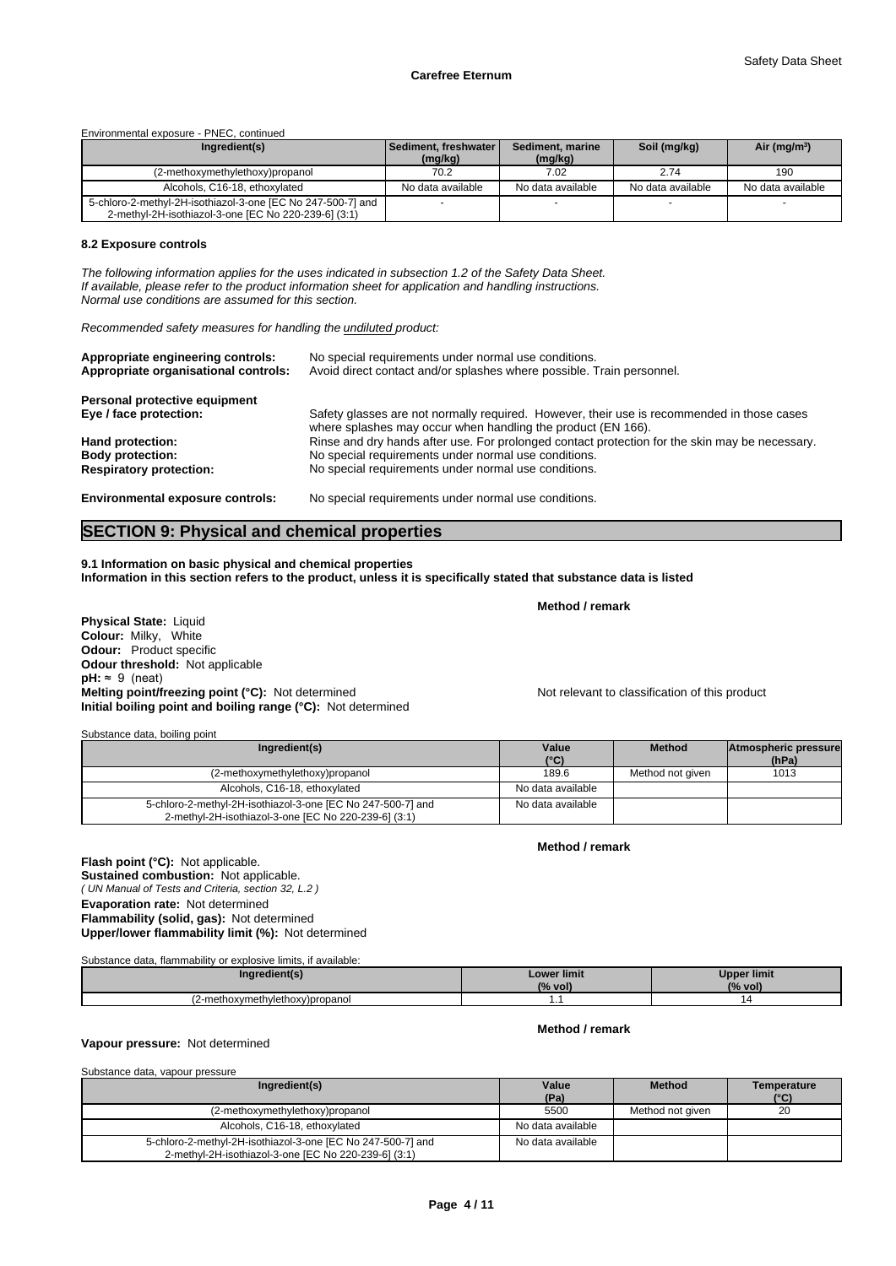Environmental exposure - PNEC, continued

| Ingredient(s)                                                                                                       | l Sediment. freshwater l<br>(mg/kg) | Sediment, marine<br>(mg/kg) | Soil (mg/kg)      | Air (mg/m <sup>3</sup> ) |
|---------------------------------------------------------------------------------------------------------------------|-------------------------------------|-----------------------------|-------------------|--------------------------|
| (2-methoxymethylethoxy)propanol                                                                                     | 70.2                                | 7.02                        | 2.74              | 190                      |
| Alcohols, C16-18, ethoxylated                                                                                       | No data available                   | No data available           | No data available | No data available        |
| 5-chloro-2-methyl-2H-isothiazol-3-one [EC No 247-500-7] and<br>2-methyl-2H-isothiazol-3-one [EC No 220-239-6] (3:1) |                                     |                             |                   |                          |

#### **8.2 Exposure controls**

*The following information applies for the uses indicated in subsection 1.2 of the Safety Data Sheet. If available, please refer to the product information sheet for application and handling instructions. Normal use conditions are assumed for this section.*

*Recommended safety measures for handling the undiluted product:*

| Appropriate engineering controls:<br>Appropriate organisational controls: | No special requirements under normal use conditions.<br>Avoid direct contact and/or splashes where possible. Train personnel.                              |
|---------------------------------------------------------------------------|------------------------------------------------------------------------------------------------------------------------------------------------------------|
| Personal protective equipment                                             |                                                                                                                                                            |
| Eye / face protection:                                                    | Safety glasses are not normally required. However, their use is recommended in those cases<br>where splashes may occur when handling the product (EN 166). |
| Hand protection:                                                          | Rinse and dry hands after use. For prolonged contact protection for the skin may be necessary.                                                             |
| <b>Body protection:</b>                                                   | No special requirements under normal use conditions.                                                                                                       |
| <b>Respiratory protection:</b>                                            | No special requirements under normal use conditions.                                                                                                       |
| <b>Environmental exposure controls:</b>                                   | No special requirements under normal use conditions.                                                                                                       |

# **SECTION 9: Physical and chemical properties**

**9.1 Information on basic physical and chemical properties Information in this section refers to the product, unless it is specifically stated that substance data is listed**

**Physical State: Liquid Colour:** Milky, White **Odour:** Product specific **Odour threshold:** Not applicable **pH:** ≈ 9 (neat) **Melting point/freezing point (°C):** Not determined Not relevant to classification of this product **Initial boiling point and boiling range (°C):** Not determined

Substance data, boiling point

| Ingredient(s)                                                                                                       | Value             | <b>Method</b>    | Atmospheric pressure |
|---------------------------------------------------------------------------------------------------------------------|-------------------|------------------|----------------------|
|                                                                                                                     | $(^{\circ}C)$     |                  | (hPa)                |
| (2-methoxymethylethoxy)propanol                                                                                     | 189.6             | Method not given | 1013                 |
| Alcohols, C16-18, ethoxylated                                                                                       | No data available |                  |                      |
| 5-chloro-2-methyl-2H-isothiazol-3-one [EC No 247-500-7] and<br>2-methyl-2H-isothiazol-3-one [EC No 220-239-6] (3:1) | No data available |                  |                      |

**Method / remark**

**Method / remark**

**Method / remark**

*( UN Manual of Tests and Criteria, section 32, L.2 )* **Flash point (°C):** Not applicable. **Sustained combustion:** Not applicable. **Evaporation rate:** Not determined **Flammability (solid, gas):** Not determined **Upper/lower flammability limit (%):** Not determined

Substance data, flammability or explosive limits, if available:

| redient(s.<br>. .              | Lower limit<br>$\sqrt{2}$<br>vol)<br>. 70 | Upper limit<br>10/<br>vol<br>70 |
|--------------------------------|-------------------------------------------|---------------------------------|
| 2-methoxymethylethoxy)propanol | .                                         |                                 |

### **Vapour pressure:** Not determined

| Substance data, vapour pressure                                                                                     |                   |                  |                     |
|---------------------------------------------------------------------------------------------------------------------|-------------------|------------------|---------------------|
| Ingredient(s)                                                                                                       | Value<br>(Pa)     | <b>Method</b>    | Temperature<br>(°C) |
| (2-methoxymethylethoxy)propanol                                                                                     | 5500              | Method not given | 20                  |
| Alcohols, C16-18, ethoxylated                                                                                       | No data available |                  |                     |
| 5-chloro-2-methyl-2H-isothiazol-3-one [EC No 247-500-7] and<br>2-methyl-2H-isothiazol-3-one [EC No 220-239-6] (3:1) | No data available |                  |                     |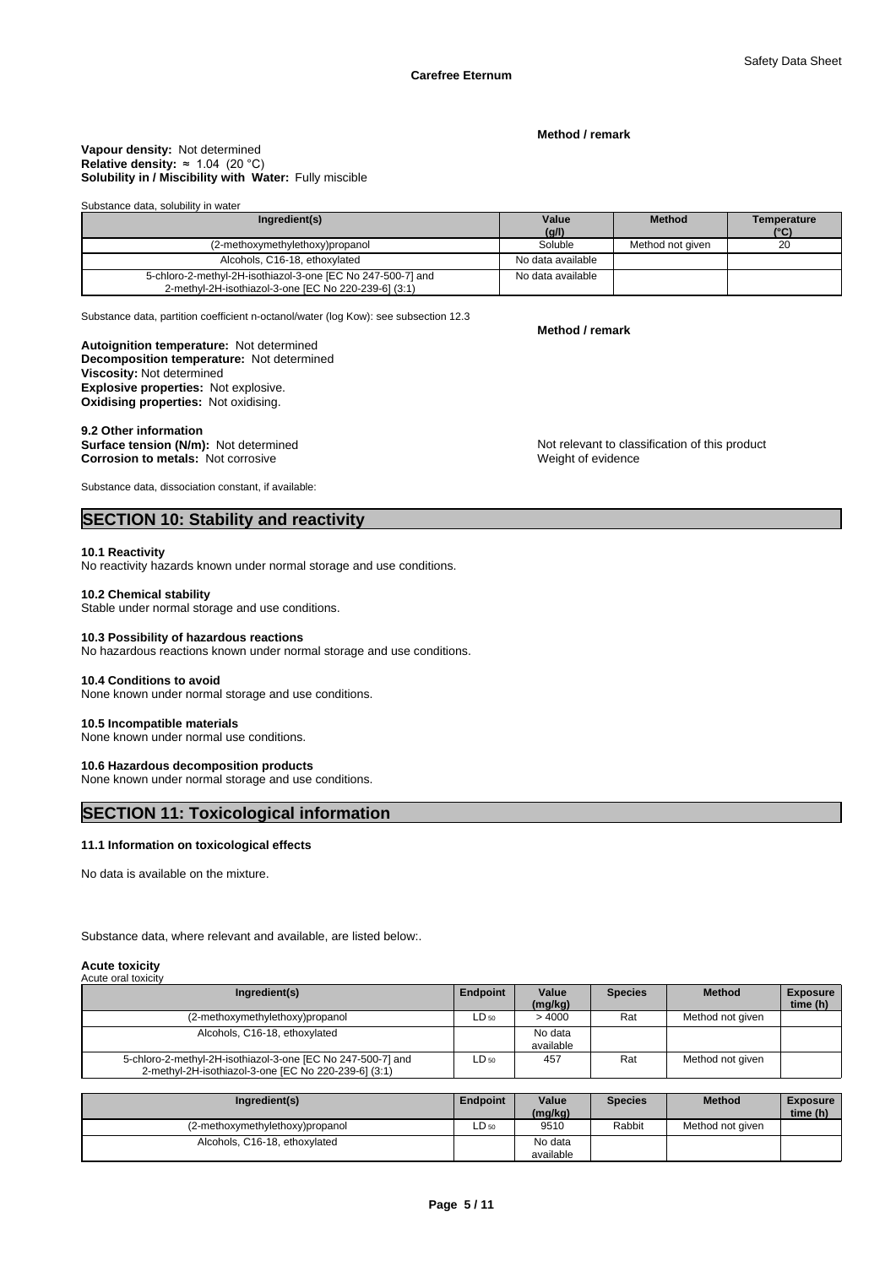#### **Method / remark**

#### **Solubility in / Miscibility with Water:** Fully miscible **Vapour density:** Not determined **Relative density:**  $\approx 1.04$  (20 °C)

#### Substance data, solubility in water

| Ingredient(s)                                                                                                       | Value             | <b>Method</b>    | Temperature |
|---------------------------------------------------------------------------------------------------------------------|-------------------|------------------|-------------|
|                                                                                                                     | (g/l)             |                  | (°C)        |
| (2-methoxymethylethoxy)propanol                                                                                     | Soluble           | Method not given | 20          |
| Alcohols, C16-18, ethoxylated                                                                                       | No data available |                  |             |
| 5-chloro-2-methyl-2H-isothiazol-3-one [EC No 247-500-7] and<br>2-methyl-2H-isothiazol-3-one [EC No 220-239-6] (3:1) | No data available |                  |             |

Substance data, partition coefficient n-octanol/water (log Kow): see subsection 12.3

# **Autoignition temperature:** Not determined

**Decomposition temperature:** Not determined **Viscosity:** Not determined **Explosive properties:** Not explosive. **Oxidising properties:** Not oxidising.

9.2 Other information<br>Surface tension (N/m): Not determined **Corrosion to metals:** Not corrosive

Not relevant to classification of this product Weight of evidence

Substance data, dissociation constant, if available:

# **SECTION 10: Stability and reactivity**

#### **10.1 Reactivity**

No reactivity hazards known under normal storage and use conditions.

#### **10.2 Chemical stability**

Stable under normal storage and use conditions.

### **10.3 Possibility of hazardous reactions**

No hazardous reactions known under normal storage and use conditions.

#### **10.4 Conditions to avoid**

None known under normal storage and use conditions.

#### **10.5 Incompatible materials**

None known under normal use conditions.

#### **10.6 Hazardous decomposition products**

None known under normal storage and use conditions.

# **SECTION 11: Toxicological information**

### **11.1 Information on toxicological effects**

No data is available on the mixture.

Substance data, where relevant and available, are listed below:.

#### **Acute toxicity** Acute oral toxicity

| Avult vidi luxiully                                                                                                 |                 |                      |                |                  |                             |
|---------------------------------------------------------------------------------------------------------------------|-----------------|----------------------|----------------|------------------|-----------------------------|
| Ingredient(s)                                                                                                       | <b>Endpoint</b> | Value<br>(mg/kg)     | <b>Species</b> | <b>Method</b>    | <b>Exposure</b><br>time (h) |
| (2-methoxymethylethoxy)propanol                                                                                     | $LD_{50}$       | >4000                | Rat            | Method not given |                             |
| Alcohols, C16-18, ethoxylated                                                                                       |                 | No data<br>available |                |                  |                             |
| 5-chloro-2-methyl-2H-isothiazol-3-one [EC No 247-500-7] and<br>2-methyl-2H-isothiazol-3-one [EC No 220-239-6] (3:1) | $LD_{50}$       | 457                  | Rat            | Method not given |                             |

| Ingredient(s)                   | <b>Endpoint</b> | Value<br>(mg/kg)     | Species | <b>Method</b>    | <b>Exposure</b><br>time (h) |
|---------------------------------|-----------------|----------------------|---------|------------------|-----------------------------|
| (2-methoxymethylethoxy)propanol | LD 50           | 9510                 | Rabbit  | Method not given |                             |
| Alcohols, C16-18, ethoxylated   |                 | No data<br>available |         |                  |                             |

**Method / remark**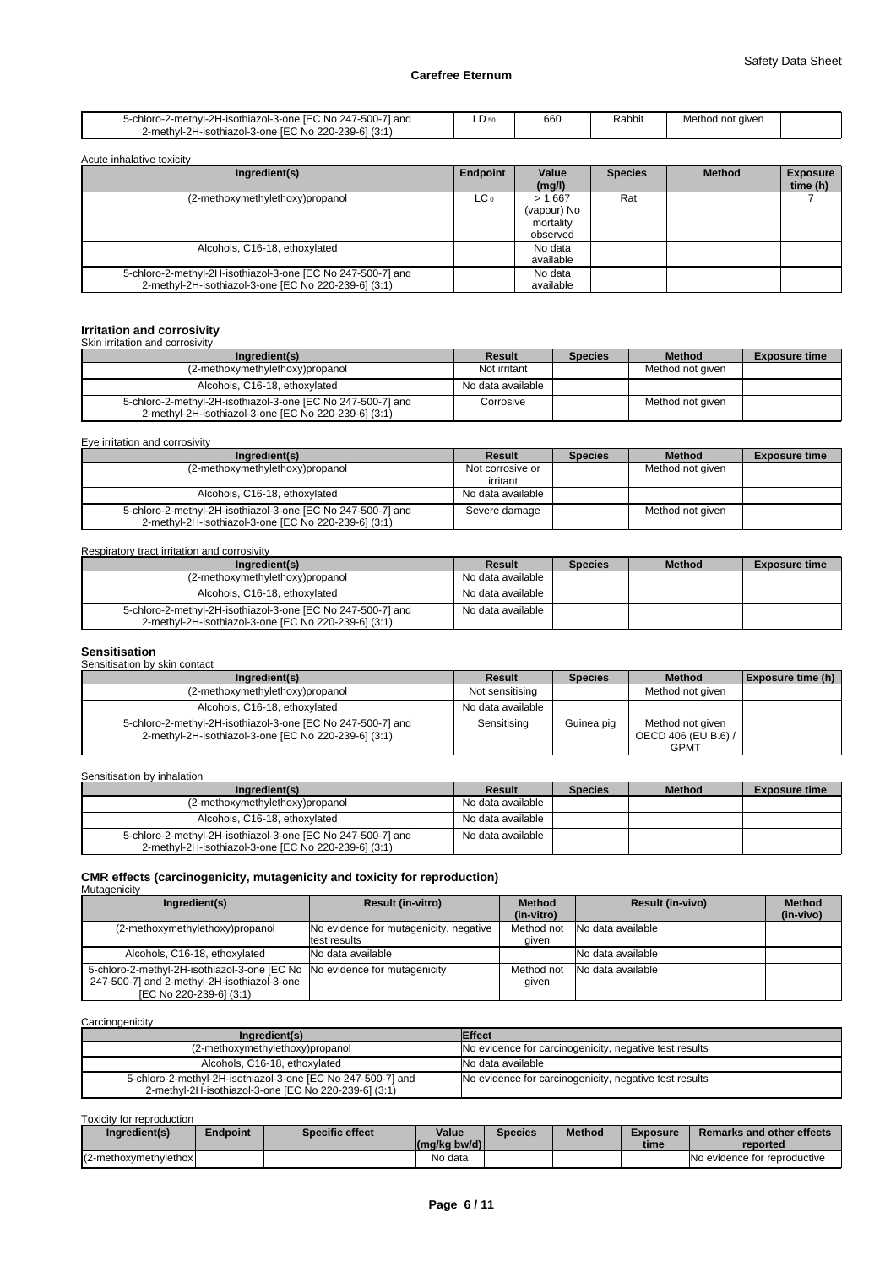| 5-chloro-2-methyl-2H-isothiazol-3-one IEC No 247-500-71 and | LD 50 | 660 | Rabbit | Method not given |  |
|-------------------------------------------------------------|-------|-----|--------|------------------|--|
| 2-methyl-2H-isothiazol-3-one IEC No 220-239-61 (3:1)        |       |     |        |                  |  |

| Acute inhalative toxicity                                                                                           |                 |                                                 |                |               |                             |
|---------------------------------------------------------------------------------------------------------------------|-----------------|-------------------------------------------------|----------------|---------------|-----------------------------|
| Ingredient(s)                                                                                                       | Endpoint        | Value<br>(mq/l)                                 | <b>Species</b> | <b>Method</b> | <b>Exposure</b><br>time (h) |
| (2-methoxymethylethoxy)propanol                                                                                     | LC <sub>o</sub> | > 1.667<br>(vapour) No<br>mortality<br>observed | Rat            |               |                             |
| Alcohols, C16-18, ethoxylated                                                                                       |                 | No data<br>available                            |                |               |                             |
| 5-chloro-2-methyl-2H-isothiazol-3-one [EC No 247-500-7] and<br>2-methyl-2H-isothiazol-3-one [EC No 220-239-6] (3:1) |                 | No data<br>available                            |                |               |                             |

# **Irritation and corrosivity** Skin irritation and corrosivity

| Ingredient(s)                                                                                                       | Result            | <b>Species</b> | <b>Method</b>    | <b>Exposure time</b> |
|---------------------------------------------------------------------------------------------------------------------|-------------------|----------------|------------------|----------------------|
| (2-methoxymethylethoxy)propanol                                                                                     | Not irritant      |                | Method not given |                      |
| Alcohols, C16-18, ethoxylated                                                                                       | No data available |                |                  |                      |
| 5-chloro-2-methyl-2H-isothiazol-3-one [EC No 247-500-7] and<br>2-methyl-2H-isothiazol-3-one [EC No 220-239-6] (3:1) | Corrosive         |                | Method not given |                      |

Eye irritation and corrosivity

| Ingredient(s)                                                                                                       | Result            | <b>Species</b> | <b>Method</b>    | <b>Exposure time</b> |
|---------------------------------------------------------------------------------------------------------------------|-------------------|----------------|------------------|----------------------|
| (2-methoxymethylethoxy)propanol                                                                                     | Not corrosive or  |                | Method not given |                      |
|                                                                                                                     | irritant          |                |                  |                      |
| Alcohols, C16-18, ethoxylated                                                                                       | No data available |                |                  |                      |
| 5-chloro-2-methyl-2H-isothiazol-3-one [EC No 247-500-7] and<br>2-methyl-2H-isothiazol-3-one [EC No 220-239-6] (3:1) | Severe damage     |                | Method not given |                      |

Respiratory tract irritation and corrosivity

| Ingredient(s)                                                                                                       | Result            | <b>Species</b> | <b>Method</b> | <b>Exposure time</b> |
|---------------------------------------------------------------------------------------------------------------------|-------------------|----------------|---------------|----------------------|
| (2-methoxymethylethoxy)propanol                                                                                     | No data available |                |               |                      |
| Alcohols, C16-18, ethoxylated                                                                                       | No data available |                |               |                      |
| 5-chloro-2-methyl-2H-isothiazol-3-one [EC No 247-500-7] and<br>2-methyl-2H-isothiazol-3-one [EC No 220-239-6] (3:1) | No data available |                |               |                      |

# **Sensitisation**

| Sensitisation by skin contact |  |
|-------------------------------|--|
|                               |  |

| Ingredient(s)                                                                                                       | Result            | <b>Species</b> | <b>Method</b>                                          | <b>Exposure time (h)</b> |
|---------------------------------------------------------------------------------------------------------------------|-------------------|----------------|--------------------------------------------------------|--------------------------|
| (2-methoxymethylethoxy)propanol                                                                                     | Not sensitising   |                | Method not given                                       |                          |
| Alcohols, C16-18, ethoxylated                                                                                       | No data available |                |                                                        |                          |
| 5-chloro-2-methyl-2H-isothiazol-3-one [EC No 247-500-7] and<br>2-methyl-2H-isothiazol-3-one [EC No 220-239-6] (3:1) | Sensitising       | Guinea pig     | Method not aiven<br>OECD 406 (EU B.6) /<br><b>GPMT</b> |                          |

Sensitisation by inhalation

| Ingredient(s)                                                                                                       | Result            | <b>Species</b> | <b>Method</b> | <b>Exposure time</b> |
|---------------------------------------------------------------------------------------------------------------------|-------------------|----------------|---------------|----------------------|
| (2-methoxymethylethoxy)propanol                                                                                     | No data available |                |               |                      |
| Alcohols, C16-18, ethoxylated                                                                                       | No data available |                |               |                      |
| 5-chloro-2-methyl-2H-isothiazol-3-one [EC No 247-500-7] and<br>2-methyl-2H-isothiazol-3-one IEC No 220-239-61 (3:1) | No data available |                |               |                      |

# **CMR effects (carcinogenicity, mutagenicity and toxicity for reproduction)** Mutagenicity

| managoniony                                                                                                                                         |                                                        |                             |                         |                            |
|-----------------------------------------------------------------------------------------------------------------------------------------------------|--------------------------------------------------------|-----------------------------|-------------------------|----------------------------|
| Ingredient(s)                                                                                                                                       | <b>Result (in-vitro)</b>                               | <b>Method</b><br>(in-vitro) | <b>Result (in-vivo)</b> | <b>Method</b><br>(in-vivo) |
| (2-methoxymethylethoxy)propanol                                                                                                                     | No evidence for mutagenicity, negative<br>test results | Method not<br>qiven         | No data available       |                            |
| Alcohols, C16-18, ethoxylated                                                                                                                       | INo data available                                     |                             | No data available       |                            |
| 5-chloro-2-methyl-2H-isothiazol-3-one [EC No No evidence for mutagenicity<br>247-500-7] and 2-methyl-2H-isothiazol-3-one<br>[EC No 220-239-6] (3:1) |                                                        | Method not<br>qiven         | No data available       |                            |

**Carcinogenicity** 

| $-$                                                         |                                                        |
|-------------------------------------------------------------|--------------------------------------------------------|
| Ingredient(s)                                               | <b>Effect</b>                                          |
| (2-methoxymethylethoxy)propanol                             | No evidence for carcinogenicity, negative test results |
| Alcohols, C16-18, ethoxylated                               | No data available                                      |
| 5-chloro-2-methyl-2H-isothiazol-3-one [EC No 247-500-7] and | No evidence for carcinogenicity, negative test results |
| 2-methyl-2H-isothiazol-3-one [EC No 220-239-6] (3:1)        |                                                        |

Toxicity for reproduction

| Ingredient(s)          | <b>Endpoint</b> | Specific effect | Value<br>$\left \frac{\text{mg}}{\text{kg}}\right $ bw/d) | <b>Species</b> | <b>Method</b> | <b>Exposure</b><br>time | Remarks and other effects<br>reported |
|------------------------|-----------------|-----------------|-----------------------------------------------------------|----------------|---------------|-------------------------|---------------------------------------|
| (2-methoxymethylethox) |                 |                 | No data                                                   |                |               |                         | No evidence for reproductive          |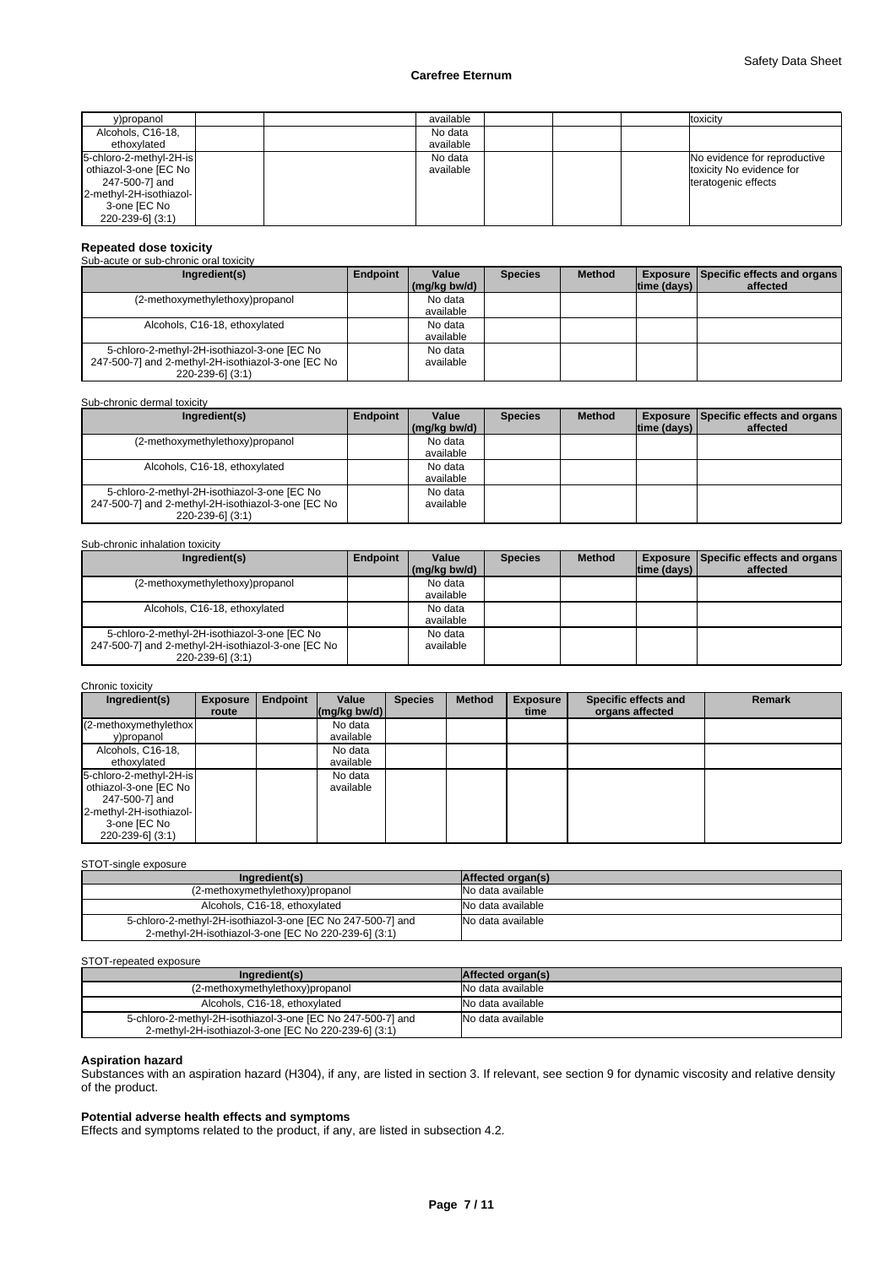| y)propanol                                                                                                                        |  | available            |  | toxicity                                                                        |
|-----------------------------------------------------------------------------------------------------------------------------------|--|----------------------|--|---------------------------------------------------------------------------------|
| Alcohols, C16-18,<br>ethoxylated                                                                                                  |  | No data<br>available |  |                                                                                 |
| 5-chloro-2-methyl-2H-is<br>othiazol-3-one [EC No<br>247-500-7] and<br>2-methyl-2H-isothiazol-<br>3-one [EC No<br>220-239-6] (3:1) |  | No data<br>available |  | No evidence for reproductive<br>toxicity No evidence for<br>teratogenic effects |

# **Repeated dose toxicity** Sub-acute or sub-chronic oral toxicity

| Ingredient(s)                                      | Endpoint | Value        | <b>Species</b> | <b>Method</b> |             | <b>Exposure   Specific effects and organs  </b> |
|----------------------------------------------------|----------|--------------|----------------|---------------|-------------|-------------------------------------------------|
|                                                    |          |              |                |               |             |                                                 |
|                                                    |          | (mg/kg bw/d) |                |               | time (days) | affected                                        |
| (2-methoxymethylethoxy)propanol                    |          | No data      |                |               |             |                                                 |
|                                                    |          | available    |                |               |             |                                                 |
| Alcohols, C16-18, ethoxylated                      |          | No data      |                |               |             |                                                 |
|                                                    |          | available    |                |               |             |                                                 |
| 5-chloro-2-methyl-2H-isothiazol-3-one [EC No       |          | No data      |                |               |             |                                                 |
| 247-500-7] and 2-methyl-2H-isothiazol-3-one [EC No |          | available    |                |               |             |                                                 |
| 220-239-61 (3:1)                                   |          |              |                |               |             |                                                 |

#### Sub-chronic dermal toxicity

| Ingredient(s)                                      | Endpoint | Value        | <b>Species</b> | <b>Method</b> |                    | <b>Exposure Specific effects and organs</b> |
|----------------------------------------------------|----------|--------------|----------------|---------------|--------------------|---------------------------------------------|
|                                                    |          | (ma/ka bw/d) |                |               | $ time$ (days) $ $ | affected                                    |
| (2-methoxymethylethoxy)propanol                    |          | No data      |                |               |                    |                                             |
|                                                    |          | available    |                |               |                    |                                             |
| Alcohols, C16-18, ethoxylated                      |          | No data      |                |               |                    |                                             |
|                                                    |          | available    |                |               |                    |                                             |
| 5-chloro-2-methyl-2H-isothiazol-3-one [EC No       |          | No data      |                |               |                    |                                             |
| 247-500-7] and 2-methyl-2H-isothiazol-3-one [EC No |          | available    |                |               |                    |                                             |
| 220-239-6] (3:1)                                   |          |              |                |               |                    |                                             |

#### Sub-chronic inhalation toxicity

| Ingredient(s)                                      | Endpoint | Value        | <b>Species</b> | <b>Method</b> |                    | <b>Exposure Specific effects and organs</b> |
|----------------------------------------------------|----------|--------------|----------------|---------------|--------------------|---------------------------------------------|
|                                                    |          | (mg/kg bw/d) |                |               | $ time$ (days) $ $ | affected                                    |
| (2-methoxymethylethoxy)propanol                    |          | No data      |                |               |                    |                                             |
|                                                    |          | available    |                |               |                    |                                             |
| Alcohols, C16-18, ethoxylated                      |          | No data      |                |               |                    |                                             |
|                                                    |          | available    |                |               |                    |                                             |
| 5-chloro-2-methyl-2H-isothiazol-3-one [EC No       |          | No data      |                |               |                    |                                             |
| 247-500-7] and 2-methyl-2H-isothiazol-3-one [EC No |          | available    |                |               |                    |                                             |
| 220-239-61 (3:1)                                   |          |              |                |               |                    |                                             |

#### Chronic toxicity

| Ingredient(s)           | <b>Exposure</b> | Endpoint | Value                      | <b>Species</b> | <b>Method</b> | <b>Exposure</b> | Specific effects and | <b>Remark</b> |
|-------------------------|-----------------|----------|----------------------------|----------------|---------------|-----------------|----------------------|---------------|
|                         | route           |          | $\frac{1}{2}$ (mg/kg bw/d) |                |               | time            | organs affected      |               |
| (2-methoxymethylethox)  |                 |          | No data                    |                |               |                 |                      |               |
| y)propanol              |                 |          | available                  |                |               |                 |                      |               |
| Alcohols, C16-18,       |                 |          | No data                    |                |               |                 |                      |               |
| ethoxylated             |                 |          | available                  |                |               |                 |                      |               |
| 5-chloro-2-methyl-2H-is |                 |          | No data                    |                |               |                 |                      |               |
| othiazol-3-one [EC No   |                 |          | available                  |                |               |                 |                      |               |
| 247-500-7] and          |                 |          |                            |                |               |                 |                      |               |
| 2-methyl-2H-isothiazol- |                 |          |                            |                |               |                 |                      |               |
| 3-one [EC No            |                 |          |                            |                |               |                 |                      |               |
| 220-239-6] (3:1)        |                 |          |                            |                |               |                 |                      |               |

#### STOT-single exposure

| Ingredient(s)                                                                                                       | Affected organ(s) |
|---------------------------------------------------------------------------------------------------------------------|-------------------|
| (2-methoxymethylethoxy)propanol                                                                                     | No data available |
| Alcohols, C16-18, ethoxylated                                                                                       | No data available |
| 5-chloro-2-methyl-2H-isothiazol-3-one [EC No 247-500-7] and<br>2-methyl-2H-isothiazol-3-one [EC No 220-239-6] (3:1) | No data available |

#### STOT-repeated exposure

| -------------------                                                                                                 |                          |
|---------------------------------------------------------------------------------------------------------------------|--------------------------|
| Ingredient(s)                                                                                                       | <b>Affected organ(s)</b> |
| (2-methoxymethylethoxy)propanol                                                                                     | No data available        |
| Alcohols, C16-18, ethoxylated                                                                                       | INo data available       |
| 5-chloro-2-methyl-2H-isothiazol-3-one [EC No 247-500-7] and<br>2-methyl-2H-isothiazol-3-one [EC No 220-239-6] (3:1) | No data available        |

#### **Aspiration hazard**

Substances with an aspiration hazard (H304), if any, are listed in section 3. If relevant, see section 9 for dynamic viscosity and relative density of the product.

### **Potential adverse health effects and symptoms**

Effects and symptoms related to the product, if any, are listed in subsection 4.2.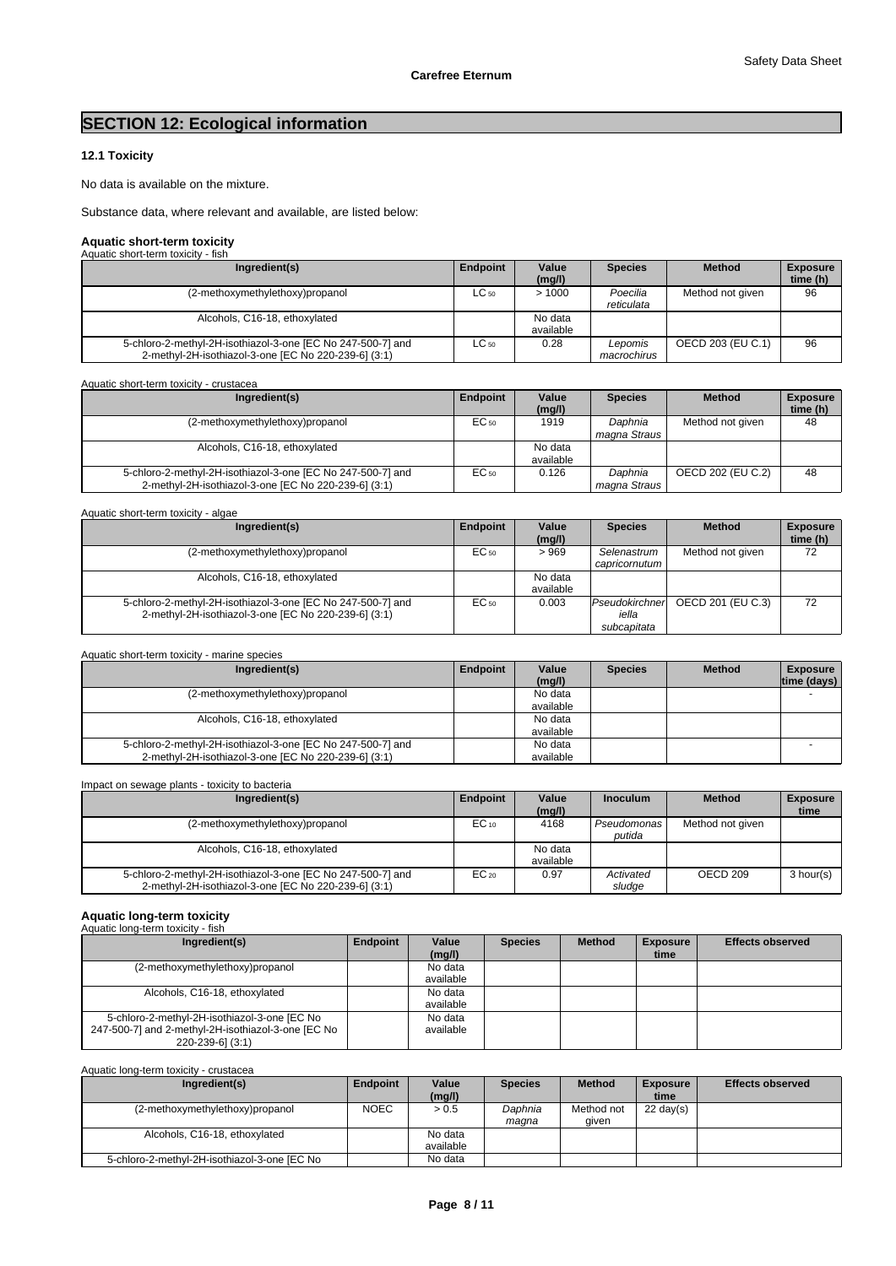# **SECTION 12: Ecological information**

# **12.1 Toxicity**

No data is available on the mixture.

Substance data, where relevant and available, are listed below:

# **Aquatic short-term toxicity** Aquatic short-term toxicity - fish

| AUURIIC SIIDIL-LEIIII LOXICILY - IISII                                                                              |           |                      |                        |                   |                             |  |  |  |
|---------------------------------------------------------------------------------------------------------------------|-----------|----------------------|------------------------|-------------------|-----------------------------|--|--|--|
| Ingredient(s)                                                                                                       | Endpoint  | Value<br>(mq/l)      | <b>Species</b>         | <b>Method</b>     | <b>Exposure</b><br>time (h) |  |  |  |
| (2-methoxymethylethoxy)propanol                                                                                     | $LC_{50}$ | >1000                | Poecilia<br>reticulata | Method not given  | 96                          |  |  |  |
| Alcohols, C16-18, ethoxylated                                                                                       |           | No data<br>available |                        |                   |                             |  |  |  |
| 5-chloro-2-methyl-2H-isothiazol-3-one [EC No 247-500-7] and<br>2-methyl-2H-isothiazol-3-one [EC No 220-239-6] (3:1) | $LC_{50}$ | 0.28                 | Lepomis<br>macrochirus | OECD 203 (EU C.1) | 96                          |  |  |  |

Aquatic short-term toxicity - crustacea

| Ingredient(s)                                                                                                       | Endpoint | Value<br>(mg/l)      | <b>Species</b>          | <b>Method</b>     | <b>Exposure</b><br>time (h) |
|---------------------------------------------------------------------------------------------------------------------|----------|----------------------|-------------------------|-------------------|-----------------------------|
| (2-methoxymethylethoxy)propanol                                                                                     | EC 50    | 1919                 | Daphnia<br>magna Straus | Method not given  | 48                          |
| Alcohols, C16-18, ethoxylated                                                                                       |          | No data<br>available |                         |                   |                             |
| 5-chloro-2-methyl-2H-isothiazol-3-one [EC No 247-500-7] and<br>2-methyl-2H-isothiazol-3-one [EC No 220-239-6] (3:1) | EC 50    | 0.126                | Daphnia<br>magna Straus | OECD 202 (EU C.2) | 48                          |

| Aquatic short-term toxicity - algae                                                                                 |           |                      |                                        |                   |                             |
|---------------------------------------------------------------------------------------------------------------------|-----------|----------------------|----------------------------------------|-------------------|-----------------------------|
| Ingredient(s)                                                                                                       | Endpoint  | Value<br>(mg/l)      | <b>Species</b>                         | <b>Method</b>     | <b>Exposure</b><br>time (h) |
| (2-methoxymethylethoxy)propanol                                                                                     | $EC_{50}$ | >969                 | Selenastrum<br>capricornutum           | Method not given  | 72                          |
| Alcohols, C16-18, ethoxylated                                                                                       |           | No data<br>available |                                        |                   |                             |
| 5-chloro-2-methyl-2H-isothiazol-3-one [EC No 247-500-7] and<br>2-methyl-2H-isothiazol-3-one [EC No 220-239-6] (3:1) | $EC_{50}$ | 0.003                | Pseudokirchner<br>iella<br>subcapitata | OECD 201 (EU C.3) | 72                          |

| Aquatic short-term toxicity - marine species |  |
|----------------------------------------------|--|
|                                              |  |

| Ingredient(s)                                                                                                       | Endpoint | Value<br>(mg/l)      | <b>Species</b> | <b>Method</b> | <b>Exposure</b><br>time (days) |
|---------------------------------------------------------------------------------------------------------------------|----------|----------------------|----------------|---------------|--------------------------------|
| (2-methoxymethylethoxy)propanol                                                                                     |          | No data<br>available |                |               |                                |
| Alcohols, C16-18, ethoxylated                                                                                       |          | No data<br>available |                |               |                                |
| 5-chloro-2-methyl-2H-isothiazol-3-one [EC No 247-500-7] and<br>2-methyl-2H-isothiazol-3-one [EC No 220-239-6] (3:1) |          | No data<br>available |                |               |                                |

Impact on sewage plants - toxicity to bacteria

| Ingredient(s)                                                                                                       | Endpoint  | Value<br>(mg/l)      | <b>Inoculum</b>       | <b>Method</b>    | <b>Exposure</b><br>time |
|---------------------------------------------------------------------------------------------------------------------|-----------|----------------------|-----------------------|------------------|-------------------------|
| (2-methoxymethylethoxy)propanol                                                                                     | $EC_{10}$ | 4168                 | Pseudomonas<br>putida | Method not given |                         |
| Alcohols, C16-18, ethoxylated                                                                                       |           | No data<br>available |                       |                  |                         |
| 5-chloro-2-methyl-2H-isothiazol-3-one [EC No 247-500-7] and<br>2-methyl-2H-isothiazol-3-one [EC No 220-239-6] (3:1) | $EC_{20}$ | 0.97                 | Activated<br>sludge   | OECD 209         | 3 hour(s)               |

# **Aquatic long-term toxicity** Aquatic long-term toxicity - fish

| Aguatic Ibrig-term toxicity - iisii                |          |           |                |               |                 |                         |
|----------------------------------------------------|----------|-----------|----------------|---------------|-----------------|-------------------------|
| Ingredient(s)                                      | Endpoint | Value     | <b>Species</b> | <b>Method</b> | <b>Exposure</b> | <b>Effects observed</b> |
|                                                    |          | (mg/l)    |                |               | time            |                         |
| (2-methoxymethylethoxy)propanol                    |          | No data   |                |               |                 |                         |
|                                                    |          | available |                |               |                 |                         |
| Alcohols, C16-18, ethoxylated                      |          | No data   |                |               |                 |                         |
|                                                    |          | available |                |               |                 |                         |
| 5-chloro-2-methyl-2H-isothiazol-3-one [EC No       |          | No data   |                |               |                 |                         |
| 247-500-7] and 2-methyl-2H-isothiazol-3-one [EC No |          | available |                |               |                 |                         |
| 220-239-6] (3:1)                                   |          |           |                |               |                 |                         |

#### Aquatic long-term toxicity - crustacea

| Ingredient(s)                                | Endpoint    | Value<br>(mg/l)      | <b>Species</b>   | <b>Method</b>       | <b>Exposure</b><br>time | <b>Effects observed</b> |
|----------------------------------------------|-------------|----------------------|------------------|---------------------|-------------------------|-------------------------|
| (2-methoxymethylethoxy)propanol              | <b>NOEC</b> | > 0.5                | Daphnia<br>maqna | Method not<br>given | $22 \text{ day(s)}$     |                         |
| Alcohols, C16-18, ethoxylated                |             | No data<br>available |                  |                     |                         |                         |
| 5-chloro-2-methyl-2H-isothiazol-3-one [EC No |             | No data              |                  |                     |                         |                         |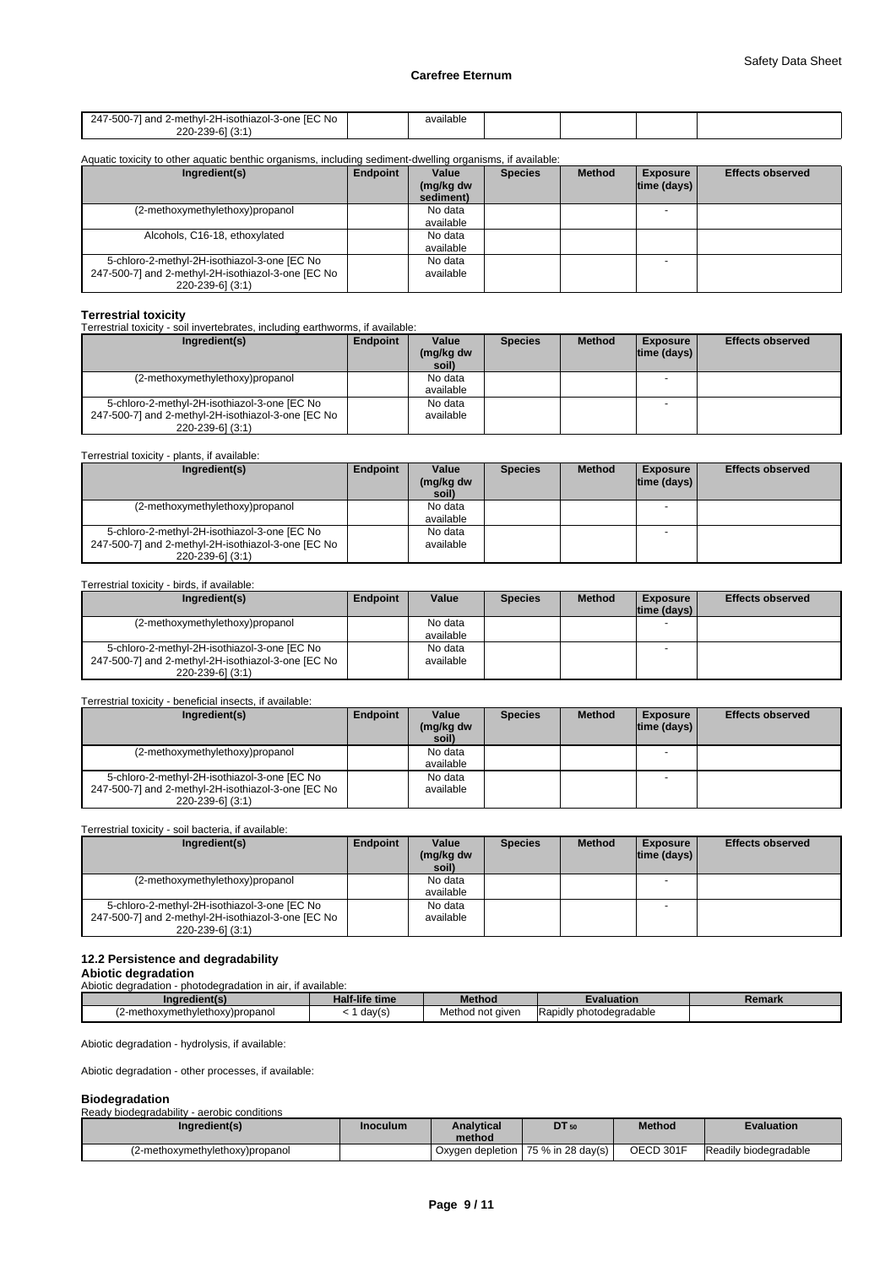| 71 and 2-methvl-2H-isothiazol-3-one IEC No<br>247-500-7 | available |  |  |
|---------------------------------------------------------|-----------|--|--|
| 1/0.4<br>$220-h.$<br>つつへ_<br>-<br>.                     |           |  |  |

#### Aquatic toxicity to other aquatic benthic organisms, including sediment-dwelling organisms, if available:<br> **Allerent indicate in the series** Method  $$ **(mg/kg dw sediment) Species | Method | Exposure | Effects observed | time (days)**  (2-methoxymethylethoxy)propanol available - Alcohols, C16-18, ethoxylated No data available 5-chloro-2-methyl-2H-isothiazol-3-one [EC No 247-500-7] and 2-methyl-2H-isothiazol-3-one [EC No 220-239-6] (3:1) No data available -

#### **Terrestrial toxicity**

Terrestrial toxicity - soil invertebrates, including earthworms, if available:

| Ingredient(s)                                                                                                          | Endpoint | Value<br>(mg/kg dw<br>soil) | <b>Species</b> | <b>Method</b> | <b>Exposure</b><br>$ time$ (days) $ $ | <b>Effects observed</b> |
|------------------------------------------------------------------------------------------------------------------------|----------|-----------------------------|----------------|---------------|---------------------------------------|-------------------------|
| (2-methoxymethylethoxy)propanol                                                                                        |          | No data<br>available        |                |               |                                       |                         |
| 5-chloro-2-methyl-2H-isothiazol-3-one [EC No<br>247-500-7] and 2-methyl-2H-isothiazol-3-one [EC No<br>220-239-6] (3:1) |          | No data<br>available        |                |               | $\overline{\phantom{0}}$              |                         |

#### Terrestrial toxicity - plants, if available:

| Ingredient(s)                                      | Endpoint | Value     | <b>Species</b> | <b>Method</b> | <b>Exposure</b>    | <b>Effects observed</b> |
|----------------------------------------------------|----------|-----------|----------------|---------------|--------------------|-------------------------|
|                                                    |          | (mg/kg dw |                |               | $ time$ (days) $ $ |                         |
|                                                    |          | soil)     |                |               |                    |                         |
| (2-methoxymethylethoxy)propanol                    |          | No data   |                |               |                    |                         |
|                                                    |          | available |                |               |                    |                         |
| 5-chloro-2-methyl-2H-isothiazol-3-one [EC No       |          | No data   |                |               | $\sim$             |                         |
| 247-500-7] and 2-methyl-2H-isothiazol-3-one [EC No |          | available |                |               |                    |                         |
| 220-239-6] (3:1)                                   |          |           |                |               |                    |                         |

#### Terrestrial toxicity - birds, if available:

| Ingredient(s)                                      | Endpoint | Value     | <b>Species</b> | <b>Method</b> | <b>Exposure</b> | <b>Effects observed</b> |
|----------------------------------------------------|----------|-----------|----------------|---------------|-----------------|-------------------------|
|                                                    |          |           |                |               | Itime (davs) I  |                         |
| (2-methoxymethylethoxy)propanol                    |          | No data   |                |               |                 |                         |
|                                                    |          | available |                |               |                 |                         |
| 5-chloro-2-methyl-2H-isothiazol-3-one [EC No       |          | No data   |                |               |                 |                         |
| 247-500-7] and 2-methyl-2H-isothiazol-3-one [EC No |          | available |                |               |                 |                         |
| 220-239-6] (3:1)                                   |          |           |                |               |                 |                         |

#### Terrestrial toxicity - beneficial insects, if available:

| Ingredient(s)                                                                                                          | Endpoint | Value<br>(mg/kg dw<br>soil) | <b>Species</b> | <b>Method</b> | <b>Exposure</b><br>$ time$ (days) $ $ | <b>Effects observed</b> |
|------------------------------------------------------------------------------------------------------------------------|----------|-----------------------------|----------------|---------------|---------------------------------------|-------------------------|
| (2-methoxymethylethoxy)propanol                                                                                        |          | No data<br>available        |                |               |                                       |                         |
| 5-chloro-2-methyl-2H-isothiazol-3-one [EC No<br>247-500-7] and 2-methyl-2H-isothiazol-3-one [EC No<br>220-239-6] (3:1) |          | No data<br>available        |                |               |                                       |                         |

#### Terrestrial toxicity - soil bacteria, if available:

| Ingredient(s)                                      | Endpoint | Value              | <b>Species</b> | <b>Method</b> | <b>Exposure</b>    | <b>Effects observed</b> |
|----------------------------------------------------|----------|--------------------|----------------|---------------|--------------------|-------------------------|
|                                                    |          | (mg/kg dw<br>soil) |                |               | $ time$ (days) $ $ |                         |
| (2-methoxymethylethoxy)propanol                    |          | No data            |                |               |                    |                         |
|                                                    |          | available          |                |               |                    |                         |
| 5-chloro-2-methyl-2H-isothiazol-3-one [EC No       |          | No data            |                |               |                    |                         |
| 247-500-7] and 2-methyl-2H-isothiazol-3-one [EC No |          | available          |                |               |                    |                         |
| 220-239-6] (3:1)                                   |          |                    |                |               |                    |                         |

## **12.2 Persistence and degradability**

**Abiotic degradation**

Abiotic degradation - photodegradation in air, if available:

| Ingredient(s)                  | Half-life time | <b>Method</b>       | :valuation                           | Remark |
|--------------------------------|----------------|---------------------|--------------------------------------|--------|
| 2-methoxymethylethoxy)propanol | day(s)         | Method<br>not given | .<br><b>IRapidly photodegradable</b> |        |

Abiotic degradation - hydrolysis, if available:

Abiotic degradation - other processes, if available:

#### **Biodegradation**

| ---------------                             |          |                   |                                              |               |                       |
|---------------------------------------------|----------|-------------------|----------------------------------------------|---------------|-----------------------|
| Ready biodegradability - aerobic conditions |          |                   |                                              |               |                       |
| Ingredient(s)                               | Inoculum | <b>Analytical</b> | DT 50                                        | <b>Method</b> | <b>Evaluation</b>     |
|                                             |          | method            |                                              |               |                       |
| (2-methoxymethylethoxy)propanol             |          |                   | Oxygen depletion   75 % in 28 day(s) $\vert$ | OECD 301F     | Readily biodegradable |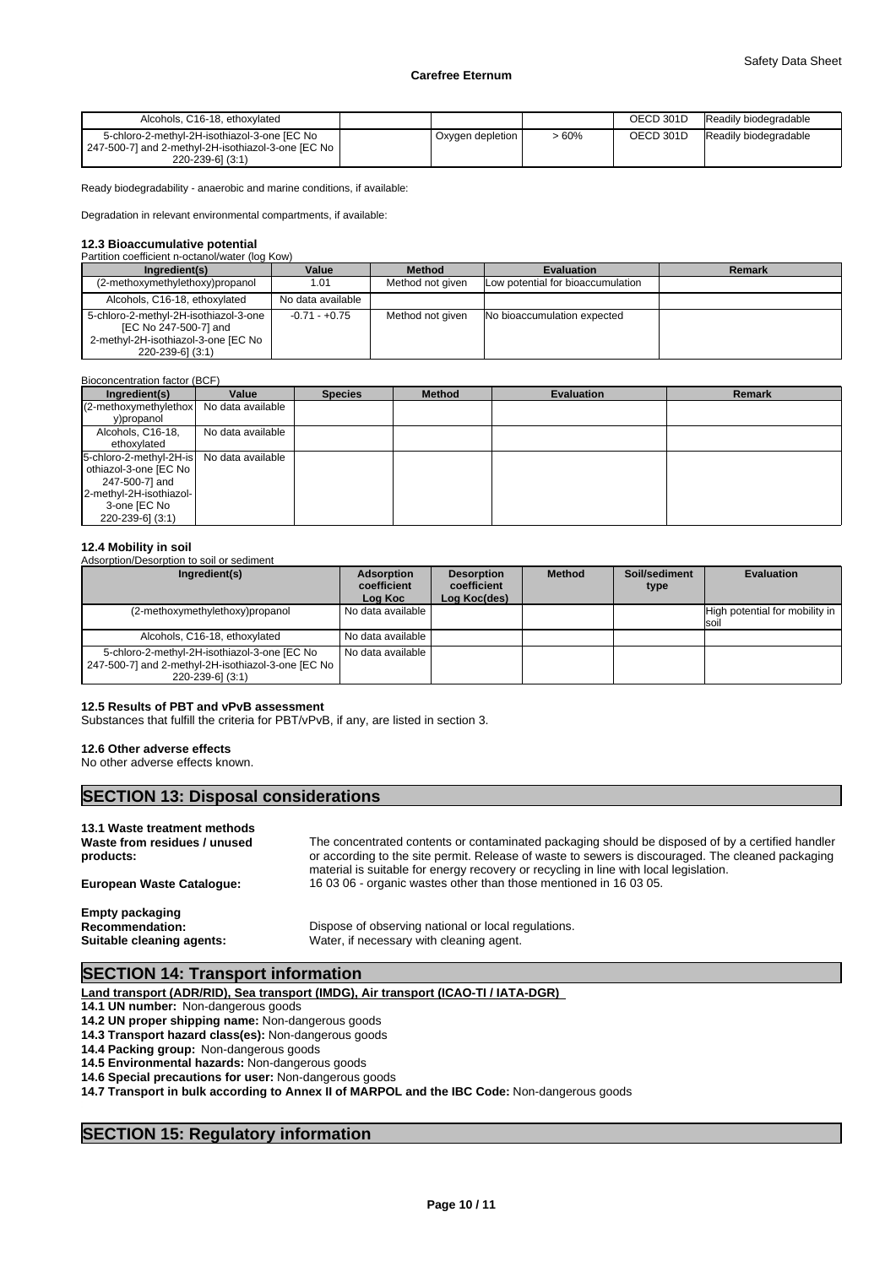| Alcohols, C16-18, ethoxylated                                                                                            |                  |       | OECD 301D | Readily biodegradable |
|--------------------------------------------------------------------------------------------------------------------------|------------------|-------|-----------|-----------------------|
| 5-chloro-2-methyl-2H-isothiazol-3-one [EC No<br>247-500-7] and 2-methyl-2H-isothiazol-3-one [EC No  <br>220-239-61 (3:1) | Oxygen depletion | - 60% | OECD 301D | Readily biodegradable |

Ready biodegradability - anaerobic and marine conditions, if available:

Degradation in relevant environmental compartments, if available:

# **12.3 Bioaccumulative potential**

| Partition coefficient n-octanol/water (log Kow)                                                                           |                   |                  |                                   |        |
|---------------------------------------------------------------------------------------------------------------------------|-------------------|------------------|-----------------------------------|--------|
| Ingredient(s)                                                                                                             | Value             | <b>Method</b>    | <b>Evaluation</b>                 | Remark |
| (2-methoxymethylethoxy)propanol                                                                                           | 1.01              | Method not given | Low potential for bioaccumulation |        |
| Alcohols, C16-18, ethoxylated                                                                                             | No data available |                  |                                   |        |
| 5-chloro-2-methyl-2H-isothiazol-3-one<br>[EC No 247-500-7] and<br>2-methyl-2H-isothiazol-3-one [EC No<br>220-239-6] (3:1) | $-0.71 - +0.75$   | Method not given | No bioaccumulation expected       |        |

| Bioconcentration factor (BCF)                                                                                                                       |                   |                |               |                   |               |
|-----------------------------------------------------------------------------------------------------------------------------------------------------|-------------------|----------------|---------------|-------------------|---------------|
| Ingredient(s)                                                                                                                                       | Value             | <b>Species</b> | <b>Method</b> | <b>Evaluation</b> | <b>Remark</b> |
| (2-methoxymethylethox)<br>y)propanol                                                                                                                | No data available |                |               |                   |               |
| Alcohols, C16-18,<br>ethoxylated                                                                                                                    | No data available |                |               |                   |               |
| 5-chloro-2-methyl-2H-is No data available<br>othiazol-3-one [EC No<br>247-500-7] and<br>2-methyl-2H-isothiazol-<br>3-one [EC No<br>220-239-6] (3:1) |                   |                |               |                   |               |

#### **12.4 Mobility in soil** Adsorption/Desorption to soil or sediment

| Adsorption/Desorption to soil or sediment<br>Ingredient(s)                                                               | <b>Adsorption</b><br>coefficient<br>Log Koc | <b>Desorption</b><br>coefficient<br>Log Koc(des) | <b>Method</b> | Soil/sediment<br>type | Evaluation                                       |
|--------------------------------------------------------------------------------------------------------------------------|---------------------------------------------|--------------------------------------------------|---------------|-----------------------|--------------------------------------------------|
| (2-methoxymethylethoxy)propanol                                                                                          | l No data available I                       |                                                  |               |                       | High potential for mobility in  <br><b>Isoil</b> |
| Alcohols, C16-18, ethoxylated                                                                                            | No data available                           |                                                  |               |                       |                                                  |
| 5-chloro-2-methyl-2H-isothiazol-3-one [EC No<br>247-500-7] and 2-methyl-2H-isothiazol-3-one [EC No ]<br>220-239-6] (3:1) | No data available                           |                                                  |               |                       |                                                  |

#### **12.5 Results of PBT and vPvB assessment**

Substances that fulfill the criteria for PBT/vPvB, if any, are listed in section 3.

#### **12.6 Other adverse effects**

No other adverse effects known.

# **SECTION 13: Disposal considerations**

# **13.1 Waste treatment methods**

| Waste from residues / unused     | The concentrated contents or contaminated packaging should be disposed of by a certified handler  |
|----------------------------------|---------------------------------------------------------------------------------------------------|
| products:                        | or according to the site permit. Release of waste to sewers is discouraged. The cleaned packaging |
|                                  | material is suitable for energy recovery or recycling in line with local legislation.             |
| <b>European Waste Cataloque:</b> | 160306 - organic wastes other than those mentioned in 160305.                                     |
| <b>Empty packaging</b>           |                                                                                                   |
| Recommendation:                  | Dispose of observing national or local regulations.                                               |
| Suitable cleaning agents:        | Water, if necessary with cleaning agent.                                                          |

# **SECTION 14: Transport information**

**Land transport (ADR/RID), Sea transport (IMDG), Air transport (ICAO-TI / IATA-DGR)** 

**14.1 UN number:** Non-dangerous goods

**14.2 UN proper shipping name:** Non-dangerous goods

**14.3 Transport hazard class(es):** Non-dangerous goods

**14.4 Packing group:** Non-dangerous goods

**14.5 Environmental hazards:** Non-dangerous goods

**14.6 Special precautions for user:** Non-dangerous goods

**14.7 Transport in bulk according to Annex II of MARPOL and the IBC Code:** Non-dangerous goods

# **SECTION 15: Regulatory information**